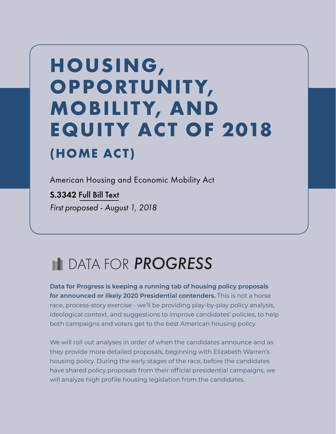# **HOUSING, OPPORTUNITY, MOBILITY, AND EQUITY ACT OF 2018 (HOME ACT)**

American Housing and Economic Mobility Act

S.3342 [Full Bill Text](https://www.congress.gov/bill/115th-congress/senate-bill/3342/text) *First proposed - August 1, 2018*

## DATA FOR *PROGRESS*

**Data for Progress is keeping a running tab of housing policy proposals for announced or likely 2020 Presidential contenders.** This is not a horse race, process-story exercise - we'll be providing play-by-play policy analysis, ideological context, and suggestions to improve candidates' policies, to help both campaigns and voters get to the best American housing policy.

We will roll out analyses in order of when the candidates announce and as they provide more detailed proposals, beginning with Elizabeth Warren's housing policy. During the early stages of the race, before the candidates have shared policy proposals from their official presidential campaigns, we will analyze high profile housing legislation from the candidates.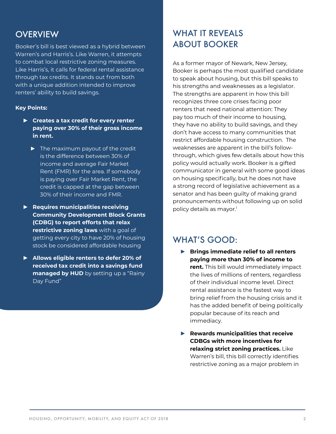### **OVERVIEW**

Booker's bill is best viewed as a hybrid between Warren's and Harris's. Like Warren, it attempts to combat local restrictive zoning measures. Like Harris's, it calls for federal rental assistance through tax credits. It stands out from both with a unique addition intended to improve renters' ability to build savings.

#### **Key Points:**

- **► Creates a tax credit for every renter paying over 30% of their gross income in rent.**
	- **►** The maximum payout of the credit is the difference between 30% of income and average Fair Market Rent (FMR) for the area. If somebody is paying over Fair Market Rent, the credit is capped at the gap between 30% of their income and FMR.
- **► Requires municipalities receiving Community Development Block Grants (CDBG) to report efforts that relax restrictive zoning laws** with a goal of getting every city to have 20% of housing stock be considered affordable housing
- **► Allows eligible renters to defer 20% of received tax credit into a savings fund managed by HUD** by setting up a "Rainy Day Fund"

## WHAT IT REVEALS ABOUT BOOKER

As a former mayor of Newark, New Jersey, Booker is perhaps the most qualified candidate to speak about housing, but this bill speaks to his strengths and weaknesses as a legislator. The strengths are apparent in how this bill recognizes three core crises facing poor renters that need national attention: They pay too much of their income to housing, they have no ability to build savings, and they don't have access to many communities that restrict affordable housing construction. The weaknesses are apparent in the bill's followthrough, which gives few details about how this policy would actually work. Booker is a gifted communicator in general with some good ideas on housing specifically, but he does not have a strong record of legislative achievement as a senator and has been guilty of making grand pronouncements without following up on solid policy details [as mayor.](http://dalerussakoff.com/)<sup>1</sup>

#### WHAT'S GOOD:

- **► Brings immediate relief to all renters paying more than 30% of income to rent.** This bill would immediately impact the lives of millions of renters, regardless of their individual income level. Direct rental assistance is the fastest way to bring relief from the housing crisis and it has the added benefit of being politically popular because of its reach and immediacy.
- **► Rewards municipalities that receive CDBGs with more incentives for relaxing strict zoning practices.** Like Warren's bill, this bill correctly identifies restrictive zoning as a major problem in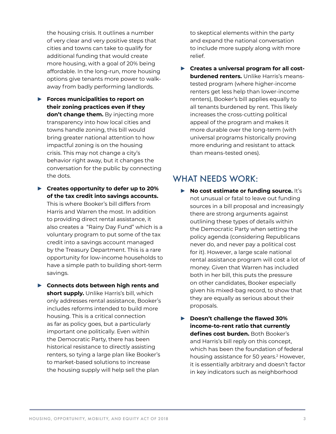the housing crisis. It outlines a number of very clear and very positive steps that cities and towns can take to qualify for additional funding that would create more housing, with a goal of 20% being affordable. In the long-run, more housing options give tenants more power to walkaway from badly performing landlords.

- **► Forces municipalities to report on their zoning practices even if they don't change them.** By injecting more transparency into how local cities and towns handle zoning, this bill would bring greater national attention to how impactful zoning is on the housing crisis. This may not change a city's behavior right away, but it changes the conversation for the public by connecting the dots.
- **► Creates opportunity to defer up to 20% of the tax credit into savings accounts.** This is where Booker's bill differs from Harris and Warren the most. In addition to providing direct rental assistance, it also creates a "Rainy Day Fund" which is a voluntary program to put some of the tax credit into a savings account managed by the Treasury Department. This is a rare opportunity for low-income households to have a simple path to building short-term savings.
- **► Connects dots between high rents and short supply.** Unlike Harris's bill, which only addresses rental assistance, Booker's includes reforms intended to build more housing. This is a critical connection as far as policy goes, but a particularly important one politically. Even within the Democratic Party, there has been historical resistance to directly assisting renters, so tying a large plan like Booker's to market-based solutions to increase the housing supply will help sell the plan

to skeptical elements within the party and expand the national conversation to include more supply along with more relief.

▶ Creates a universal program for all cost**burdened renters.** Unlike Harris's meanstested program (where higher-income renters get less help than lower-income renters), Booker's bill applies equally to all tenants burdened by rent. This likely increases the cross-cutting political appeal of the program and makes it more durable over the long-term (with universal programs historically proving more enduring and resistant to attack than means-tested ones).

### WHAT NEEDS WORK:

- **► No cost estimate or funding source.** It's not unusual or fatal to leave out funding sources in a bill proposal and increasingly there are strong arguments against outlining these types of details within the Democratic Party when setting the policy agenda (considering Republicans never do, and never pay a political cost for it). However, a large scale national rental assistance program will cost a lot of money. Given that Warren has included both in her bill, this puts the pressure on other candidates, Booker especially given his mixed-bag record, to show that they are equally as serious about their proposals.
- **► Doesn't challenge the flawed 30% income-to-rent ratio that currently defines cost burden.** Both Booker's and Harris's bill reply on this concept, which has been the foundation of federal housing assistance for [50 years](https://www.huduser.gov/portal/pdredge/pdr_edge_featd_article_092214.html).<sup>2</sup> However, it is essentially arbitrary and [doesn't factor](http://www.jchs.harvard.edu/sites/default/files/rd05-1_measuring_rental_affordability05.pdf)  [in key indicators](http://www.jchs.harvard.edu/sites/default/files/rd05-1_measuring_rental_affordability05.pdf) such as neighborhood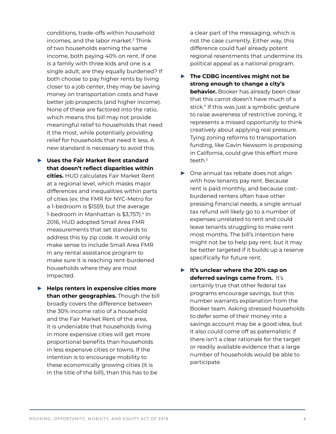conditions, trade-offs within household incomes, and the labor market.<sup>3</sup> Think of two households earning the same income, both paying 40% on rent. If one is a family with three kids and one is a single adult, are they equally burdened? If both choose to pay higher rents by living closer to a job center, they may be saving money on transportation costs and have better job prospects (and higher income). None of these are factored into the ratio, which means this bill may not provide meaningful relief to households that need it the most, while potentially providing relief for households that need it less. A new standard is necessary to avoid this.

- **► Uses the Fair Market Rent standard that doesn't reflect disparities within cities.** HUD calculates [Fair Market Rent](https://www.huduser.gov/portal/datasets/fmr/fmrs/FY2019_code/select_Geography.odn)  at a regional level, which masks major differences and inequalities within parts of cities (ex: the FMR for NYC-Metro for a 1-bedroom is [\\$1559,](https://www.huduser.gov/portal/datasets/fmr/fmrs/FY2019_code/2019summary.odn?cbsasub=METRO35620MM5600&year=2019&fmrtype=Final) but the average 1-bedroom in Manhattan is [\\$3,757](https://www.rentcafe.com/average-rent-market-trends/us/ny/manhattan/)).<sup>4</sup> In 2016, HUD adopted Small Area FMR measurements that set standards to address this by zip code. It would only make sense to include Small Area FMR in any rental assistance program to make sure it is reaching rent-burdened households where they are most impacted.
- **► Helps renters in expensive cities more than other geographies.** Though the bill broadly covers the difference between the 30% income ratio of a household and the Fair Market Rent of the area, it is undeniable that households living in more expensive cities will get more proportional benefits than households in less expensive cities or towns. If the intention is to encourage mobility to these economically growing cities (it is in the title of the bill), than this has to be

a clear part of the messaging, which is not the case currently. Either way, this difference could fuel already potent regional resentments that undermine its political appeal as a national program.

- **► The CDBG incentives might not be strong enough to change a city's behavior.** Booker has already been clear that this carrot doesn't have much of a stick.<sup>4</sup> If this was just a symbolic gesture to raise awareness of restrictive zoning, it represents a missed opportunity to think creatively about applying real pressure. Tying zoning reforms to transportation funding, like Gavin Newsom is proposing in California, could give this effort more teeth.<sup>5</sup>
- **►** One annual tax rebate does not align with how tenants pay rent. Because rent is paid monthly, and because costburdened renters often have other pressing financial needs, a single annual tax refund will likely go to a number of expenses unrelated to rent and could leave tenants struggling to make rent most months. The bill's intention here might not be to help pay rent, but it may be better targeted if it builds up a reserve specifically for future rent.
- **► It's unclear where the 20% cap on deferred savings came from.** It's certainly true that other federal tax programs encourage savings, but this number warrants explanation from the Booker team. Asking stressed households to defer some of their money into a savings account may be a good idea, but it also could come off as paternalistic if there isn't a clear rationale for the target or readily available evidence that a large number of households would be able to participate.